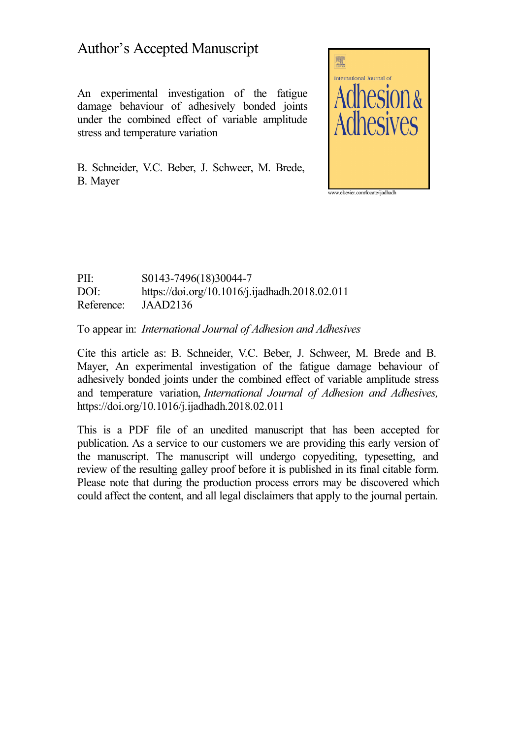### Author's Accepted Manuscript

An experimental investigation of the fatigue damage behaviour of adhesively bonded joints under the combined effect of variable amplitude stress and temperature variation

B. Schneider, V.C. Beber, J. Schweer, M. Brede, B. Mayer



PII: S0143-7496(18)30044-7 DOI: <https://doi.org/10.1016/j.ijadhadh.2018.02.011> Reference: JAAD2136

To appear in: *International Journal of Adhesion and Adhesives*

Cite this article as: B. Schneider, V.C. Beber, J. Schweer, M. Brede and B. Mayer, An experimental investigation of the fatigue damage behaviour of adhesively bonded joints under the combined effect of variable amplitude stress and temperature variation, *International Journal of Adhesion and Adhesives,* <https://doi.org/10.1016/j.ijadhadh.2018.02.011>

This is a PDF file of an unedited manuscript that has been accepted for publication. As a service to our customers we are providing this early version of the manuscript. The manuscript will undergo copyediting, typesetting, and review of the resulting galley proof before it is published in its final citable form. Please note that during the production process errors may be discovered which could affect the content, and all legal disclaimers that apply to the journal pertain.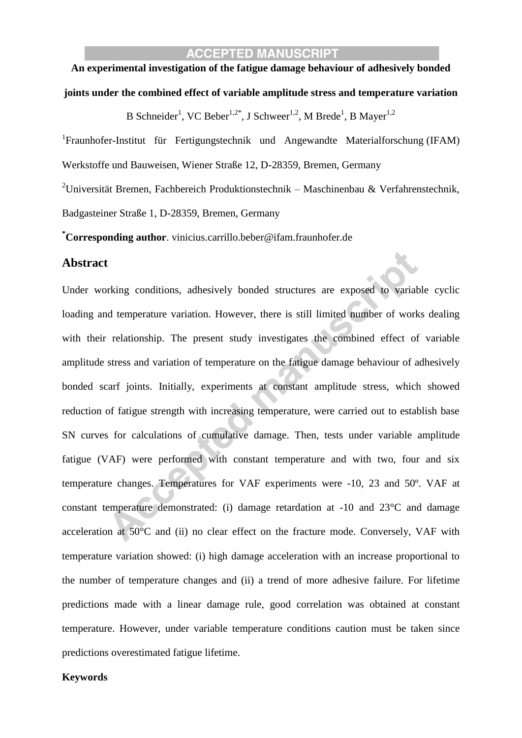#### **ACCEPTED MANUSCRIPT**

## **An experimental investigation of the fatigue damage behaviour of adhesively bonded**

#### **joints under the combined effect of variable amplitude stress and temperature variation**

B Schneider<sup>1</sup>, VC Beber<sup>1,2\*</sup>, J Schweer<sup>1,2</sup>, M Brede<sup>1</sup>, B Mayer<sup>1,2</sup>

<sup>1</sup>Fraunhofer-Institut für Fertigungstechnik und Angewandte Materialforschung (IFAM) Werkstoffe und Bauweisen, Wiener Straße 12, D-28359, Bremen, Germany

<sup>2</sup>Universität Bremen, Fachbereich Produktionstechnik – Maschinenbau & Verfahrenstechnik, Badgasteiner Straße 1, D-28359, Bremen, Germany

**\*Corresponding author**. vinicius.carrillo.beber@ifam.fraunhofer.de

#### **Abstract**

Under working conditions, adhesively bonded structures are exposed to variable cyclic loading and temperature variation. However, there is still limited number of works dealing with their relationship. The present study investigates the combined effect of variable amplitude stress and variation of temperature on the fatigue damage behaviour of adhesively bonded scarf joints. Initially, experiments at constant amplitude stress, which showed reduction of fatigue strength with increasing temperature, were carried out to establish base SN curves for calculations of cumulative damage. Then, tests under variable amplitude fatigue (VAF) were performed with constant temperature and with two, four and six temperature changes. Temperatures for VAF experiments were -10, 23 and 50º. VAF at constant temperature demonstrated: (i) damage retardation at -10 and 23°C and damage acceleration at 50°C and (ii) no clear effect on the fracture mode. Conversely, VAF with temperature variation showed: (i) high damage acceleration with an increase proportional to the number of temperature changes and (ii) a trend of more adhesive failure. For lifetime predictions made with a linear damage rule, good correlation was obtained at constant temperature. However, under variable temperature conditions caution must be taken since predictions overestimated fatigue lifetime.

#### **Keywords**